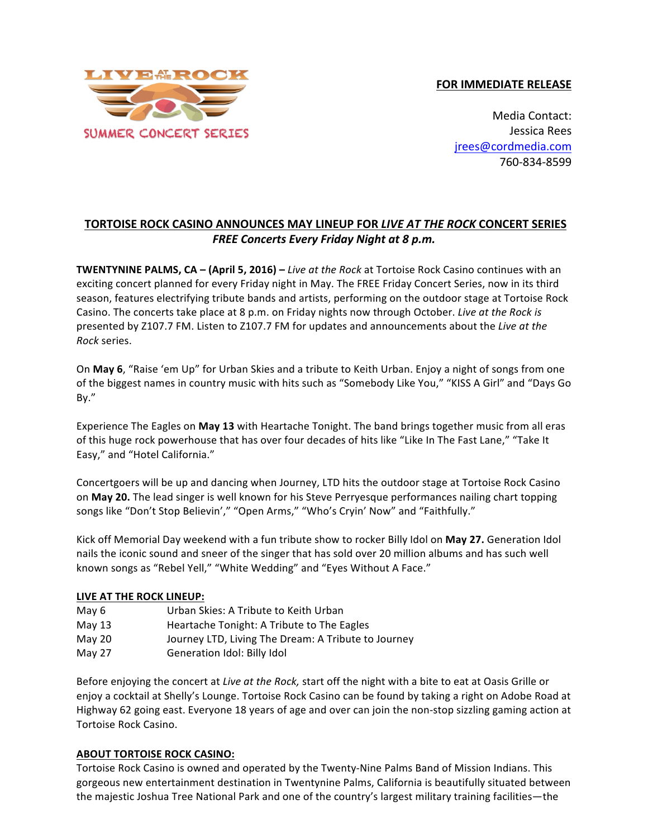



Media Contact: Jessica Rees jrees@cordmedia.com 760-834-8599

## **TORTOISE ROCK CASINO ANNOUNCES MAY LINEUP FOR** *LIVE AT THE ROCK* **CONCERT SERIES FREE** Concerts Every Friday Night at 8 p.m.

**TWENTYNINE PALMS, CA – (April 5, 2016)** – *Live at the Rock* at Tortoise Rock Casino continues with an exciting concert planned for every Friday night in May. The FREE Friday Concert Series, now in its third season, features electrifying tribute bands and artists, performing on the outdoor stage at Tortoise Rock Casino. The concerts take place at 8 p.m. on Friday nights now through October. *Live at the Rock is* presented by Z107.7 FM. Listen to Z107.7 FM for updates and announcements about the Live at the *Rock* series.

On May 6, "Raise 'em Up" for Urban Skies and a tribute to Keith Urban. Enjoy a night of songs from one of the biggest names in country music with hits such as "Somebody Like You," "KISS A Girl" and "Days Go By."

Experience The Eagles on May 13 with Heartache Tonight. The band brings together music from all eras of this huge rock powerhouse that has over four decades of hits like "Like In The Fast Lane," "Take It Easy," and "Hotel California."

Concertgoers will be up and dancing when Journey, LTD hits the outdoor stage at Tortoise Rock Casino on **May 20.** The lead singer is well known for his Steve Perryesque performances nailing chart topping songs like "Don't Stop Believin'," "Open Arms," "Who's Cryin' Now" and "Faithfully."

Kick off Memorial Day weekend with a fun tribute show to rocker Billy Idol on May 27. Generation Idol nails the iconic sound and sneer of the singer that has sold over 20 million albums and has such well known songs as "Rebel Yell," "White Wedding" and "Eyes Without A Face."

## **LIVE AT THE ROCK LINEUP:**

- May 6 Urban Skies: A Tribute to Keith Urban
- May 13 Heartache Tonight: A Tribute to The Eagles
- May 20 Journey LTD, Living The Dream: A Tribute to Journey
- May 27 Generation Idol: Billy Idol

Before enjoying the concert at *Live at the Rock,* start off the night with a bite to eat at Oasis Grille or enjoy a cocktail at Shelly's Lounge. Tortoise Rock Casino can be found by taking a right on Adobe Road at Highway 62 going east. Everyone 18 years of age and over can join the non-stop sizzling gaming action at Tortoise Rock Casino.

## **ABOUT TORTOISE ROCK CASINO:**

Tortoise Rock Casino is owned and operated by the Twenty-Nine Palms Band of Mission Indians. This gorgeous new entertainment destination in Twentynine Palms, California is beautifully situated between the majestic Joshua Tree National Park and one of the country's largest military training facilities—the